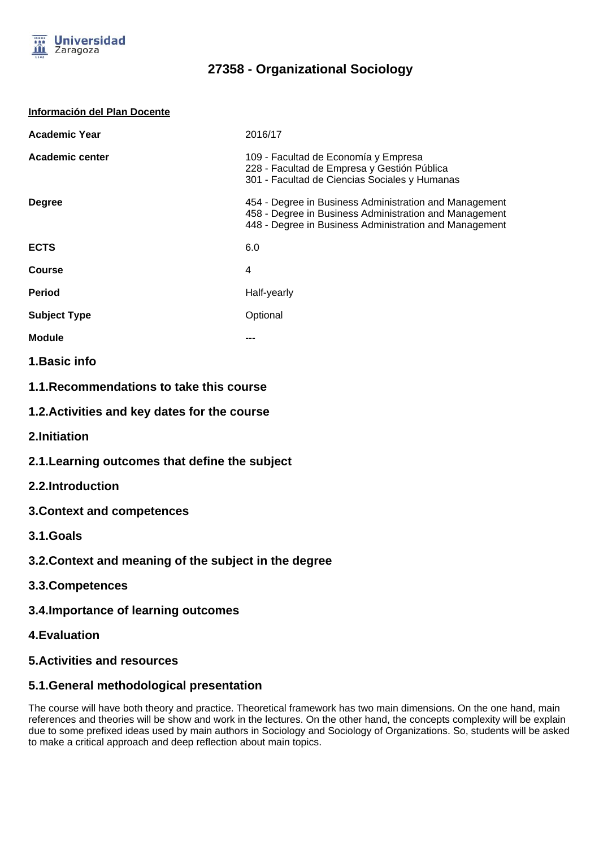

| Información del Plan Docente |  |
|------------------------------|--|
|                              |  |

| <b>Academic Year</b>   | 2016/17                                                                                                                                                                    |  |
|------------------------|----------------------------------------------------------------------------------------------------------------------------------------------------------------------------|--|
| <b>Academic center</b> | 109 - Facultad de Economía y Empresa<br>228 - Facultad de Empresa y Gestión Pública<br>301 - Facultad de Ciencias Sociales y Humanas                                       |  |
| <b>Degree</b>          | 454 - Degree in Business Administration and Management<br>458 - Degree in Business Administration and Management<br>448 - Degree in Business Administration and Management |  |
| <b>ECTS</b>            | 6.0                                                                                                                                                                        |  |
| <b>Course</b>          | 4                                                                                                                                                                          |  |
| <b>Period</b>          | Half-yearly                                                                                                                                                                |  |
| <b>Subject Type</b>    | Optional                                                                                                                                                                   |  |
| <b>Module</b>          |                                                                                                                                                                            |  |
|                        |                                                                                                                                                                            |  |

- **1.Basic info**
- **1.1.Recommendations to take this course**
- **1.2.Activities and key dates for the course**
- **2.Initiation**
- **2.1.Learning outcomes that define the subject**
- **2.2.Introduction**
- **3.Context and competences**
- **3.1.Goals**
- **3.2.Context and meaning of the subject in the degree**
- **3.3.Competences**
- **3.4.Importance of learning outcomes**
- **4.Evaluation**
- **5.Activities and resources**

### **5.1.General methodological presentation**

The course will have both theory and practice. Theoretical framework has two main dimensions. On the one hand, main references and theories will be show and work in the lectures. On the other hand, the concepts complexity will be explain due to some prefixed ideas used by main authors in Sociology and Sociology of Organizations. So, students will be asked to make a critical approach and deep reflection about main topics.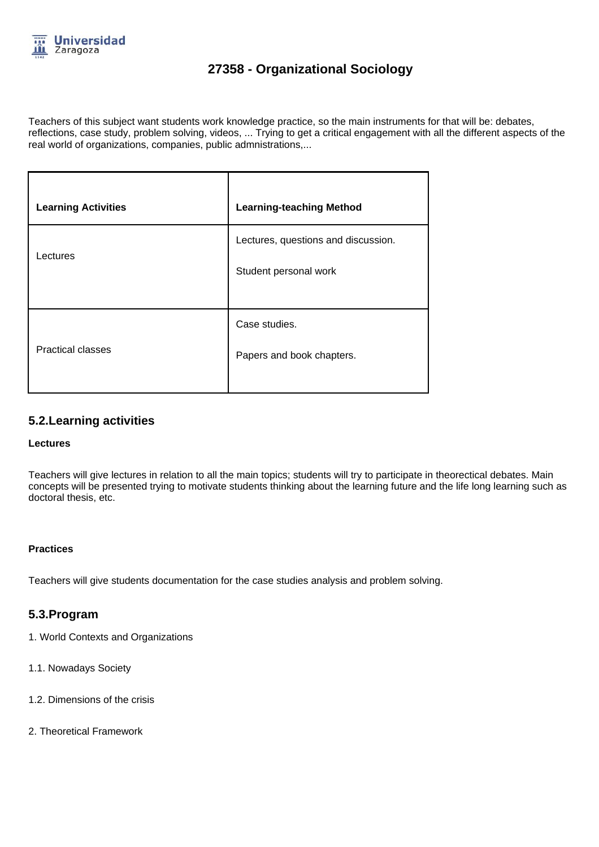

Teachers of this subject want students work knowledge practice, so the main instruments for that will be: debates, reflections, case study, problem solving, videos, ... Trying to get a critical engagement with all the different aspects of the real world of organizations, companies, public admnistrations,...

| <b>Learning Activities</b> | <b>Learning-teaching Method</b>                              |
|----------------------------|--------------------------------------------------------------|
| Lectures                   | Lectures, questions and discussion.<br>Student personal work |
| <b>Practical classes</b>   | Case studies.<br>Papers and book chapters.                   |

### **5.2.Learning activities**

#### **Lectures**

Teachers will give lectures in relation to all the main topics; students will try to participate in theorectical debates. Main concepts will be presented trying to motivate students thinking about the learning future and the life long learning such as doctoral thesis, etc.

#### **Practices**

Teachers will give students documentation for the case studies analysis and problem solving.

### **5.3.Program**

- 1. World Contexts and Organizations
- 1.1. Nowadays Society
- 1.2. Dimensions of the crisis
- 2. Theoretical Framework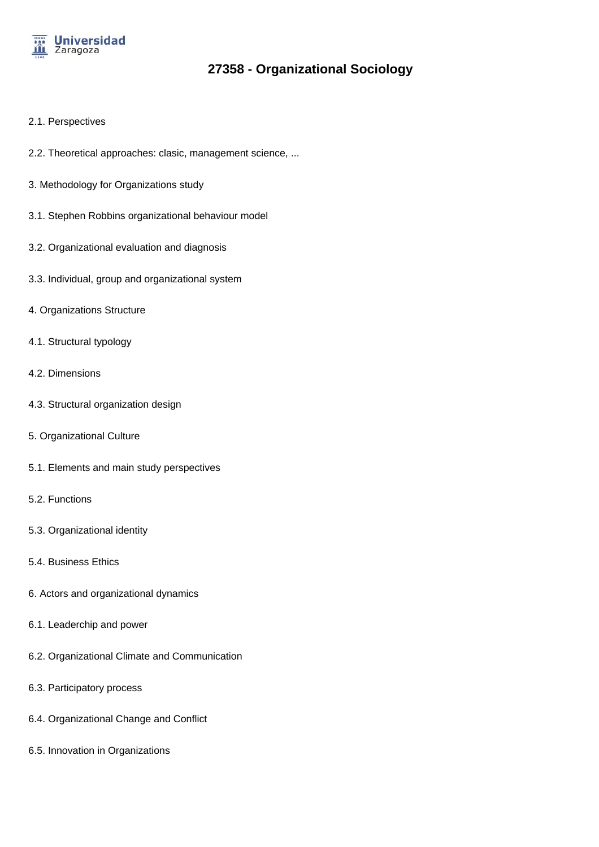

- 2.1. Perspectives
- 2.2. Theoretical approaches: clasic, management science, ...
- 3. Methodology for Organizations study
- 3.1. Stephen Robbins organizational behaviour model
- 3.2. Organizational evaluation and diagnosis
- 3.3. Individual, group and organizational system
- 4. Organizations Structure
- 4.1. Structural typology
- 4.2. Dimensions
- 4.3. Structural organization design
- 5. Organizational Culture
- 5.1. Elements and main study perspectives
- 5.2. Functions
- 5.3. Organizational identity
- 5.4. Business Ethics
- 6. Actors and organizational dynamics
- 6.1. Leaderchip and power
- 6.2. Organizational Climate and Communication
- 6.3. Participatory process
- 6.4. Organizational Change and Conflict
- 6.5. Innovation in Organizations